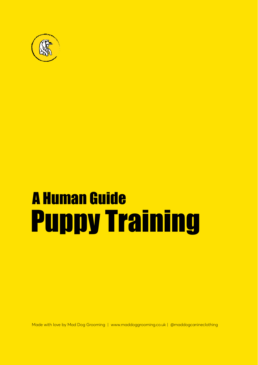

# A Human Guide Puppy Training

Made with love by Mad Dog Grooming | [www.maddoggrooming.co.uk |](https:// www.maddoggrooming.co.uk ) @maddogcanineclothing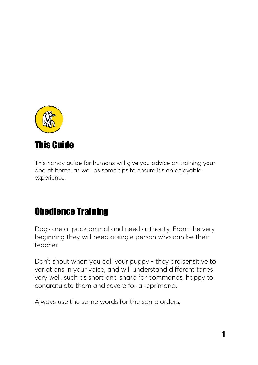

### This handy guide for humans will give you advice on training your dog at home, as well as some tips to ensure it's an enjoyable experience.

### Obedience Training

Dogs are a pack animal and need authority. From the very beginning they will need a single person who can be their teacher.

Don't shout when you call your puppy - they are sensitive to variations in your voice, and will understand different tones very well, such as short and sharp for commands, happy to congratulate them and severe for a reprimand.

Always use the same words for the same orders.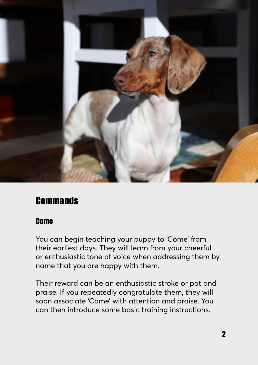

### **Commands**

#### Come

You can begin teaching your puppy to 'Come' from their earliest days. They will learn from your cheerful or enthusiastic tone of voice when addressing them by name that you are happy with them.

Their reward can be an enthusiastic stroke or pat and praise. If you repeatedly congratulate them, they will soon associate 'Come' with attention and praise. You can then introduce some basic training instructions.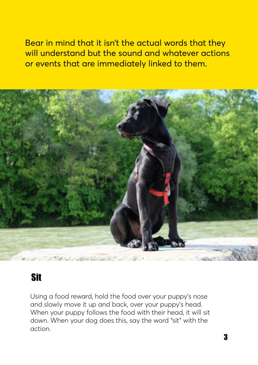Bear in mind that it isn't the actual words that they will understand but the sound and whatever actions or events that are immediately linked to them.



### Sit

Using a food reward, hold the food over your puppy's nose and slowly move it up and back, over your puppy's head. When your puppy follows the food with their head, it will sit down. When your dog does this, say the word "sit" with the action.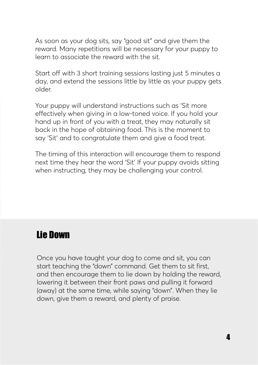As soon as your dog sits, say "good sit" and give them the reward. Many repetitions will be necessary for your puppy to learn to associate the reward with the sit.

Start off with 3 short training sessions lasting just 5 minutes a day, and extend the sessions little by little as your puppy gets older.

Your puppy will understand instructions such as 'Sit more effectively when giving in a low-toned voice. If you hold your hand up in front of you with a treat, they may naturally sit back in the hope of obtaining food. This is the moment to say 'Sit' and to congratulate them and give a food treat.

The timing of this interaction will encourage them to respond next time they hear the word 'Sit' If your puppy avoids sitting when instructing, they may be challenging your control.

### Lie Down

Once you have taught your dog to come and sit, you can start teaching the "down" command. Get them to sit first, and then encourage them to lie down by holding the reward, lowering it between their front paws and pulling it forward (away) at the same time, while saying "down". When they lie down, give them a reward, and plenty of praise.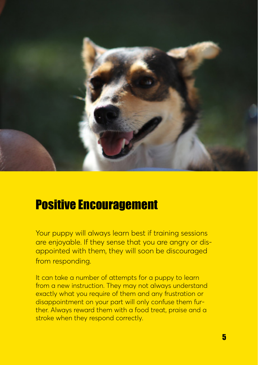

# Positive Encouragement

Your puppy will always learn best if training sessions are enjoyable. If they sense that you are angry or disappointed with them, they will soon be discouraged from responding.

It can take a number of attempts for a puppy to learn from a new instruction. They may not always understand exactly what you require of them and any frustration or disappointment on your part will only confuse them further. Always reward them with a food treat, praise and a stroke when they respond correctly.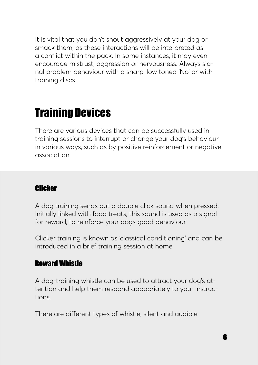It is vital that you don't shout aggressively at your dog or smack them, as these interactions will be interpreted as a conflict within the pack. In some instances, it may even encourage mistrust, aggression or nervousness. Always signal problem behaviour with a sharp, low toned 'No' or with training discs.

# Training Devices

There are various devices that can be successfully used in training sessions to interrupt or change your dog's behaviour in various ways, such as by positive reinforcement or negative association.

#### **Clicker**

A dog training sends out a double click sound when pressed. Initially linked with food treats, this sound is used as a signal for reward, to reinforce your dogs good behaviour.

Clicker training is known as 'classical conditioning' and can be introduced in a brief training session at home.

#### Reward Whistle

A dog-training whistle can be used to attract your dog's attention and help them respond appopriately to your instructions.

There are different types of whistle, silent and audible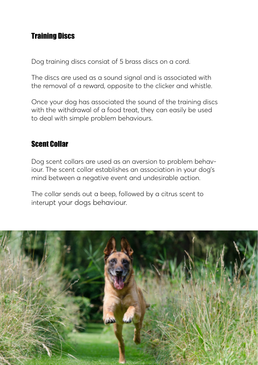### Training Discs

Dog training discs consiat of 5 brass discs on a cord.

The discs are used as a sound signal and is associated with the removal of a reward, opposite to the clicker and whistle.

Once your dog has associated the sound of the training discs with the withdrawal of a food treat, they can easily be used to deal with simple problem behaviours.

#### Scent Collar

Dog scent collars are used as an aversion to problem behaviour. The scent collar establishes an association in your dog's mind between a negative event and undesirable action.

The collar sends out a beep, followed by a citrus scent to interupt your dogs behaviour.

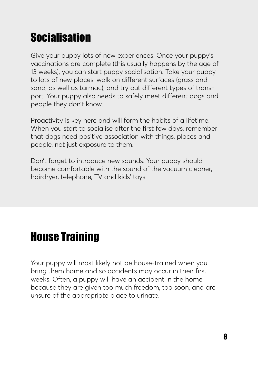# **Socialisation**

Give your puppy lots of new experiences. Once your puppy's vaccinations are complete (this usually happens by the age of 13 weeks), you can start puppy socialisation. Take your puppy to lots of new places, walk on different surfaces (grass and sand, as well as tarmac), and try out different types of transport. Your puppy also needs to safely meet different dogs and people they don't know.

Proactivity is key here and will form the habits of a lifetime. When you start to socialise after the first few days, remember that dogs need positive association with things, places and people, not just exposure to them.

Don't forget to introduce new sounds. Your puppy should become comfortable with the sound of the vacuum cleaner, hairdryer, telephone, TV and kids' toys.

# House Training

Your puppy will most likely not be house-trained when you bring them home and so accidents may occur in their first weeks. Often, a puppy will have an accident in the home because they are given too much freedom, too soon, and are unsure of the appropriate place to urinate.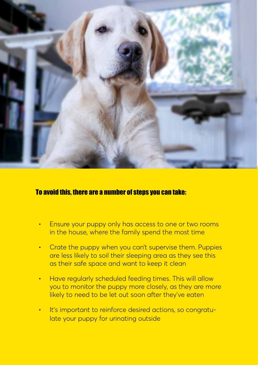

#### To avoid this, there are a number of steps you can take:

- Ensure your puppy only has access to one or two rooms in the house, where the family spend the most time
- Crate the puppy when you can't supervise them. Puppies are less likely to soil their sleeping area as they see this as their safe space and want to keep it clean
- Have regularly scheduled feeding times. This will allow you to monitor the puppy more closely, as they are more likely to need to be let out soon after they've eaten
- It's important to reinforce desired actions, so congratulate your puppy for urinating outside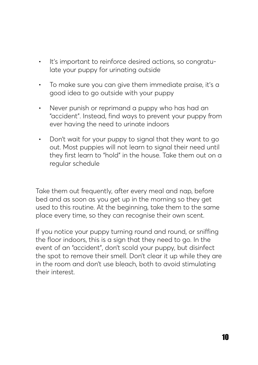- It's important to reinforce desired actions, so congratulate your puppy for urinating outside
- To make sure you can give them immediate praise, it's a good idea to go outside with your puppy
- Never punish or reprimand a puppy who has had an "accident". Instead, find ways to prevent your puppy from ever having the need to urinate indoors
- Don't wait for your puppy to signal that they want to go out. Most puppies will not learn to signal their need until they first learn to "hold" in the house. Take them out on a regular schedule

Take them out frequently, after every meal and nap, before bed and as soon as you get up in the morning so they get used to this routine. At the beginning, take them to the same place every time, so they can recognise their own scent.

If you notice your puppy turning round and round, or sniffing the floor indoors, this is a sign that they need to go. In the event of an "accident", don't scold your puppy, but disinfect the spot to remove their smell. Don't clear it up while they are in the room and don't use bleach, both to avoid stimulating their interest.